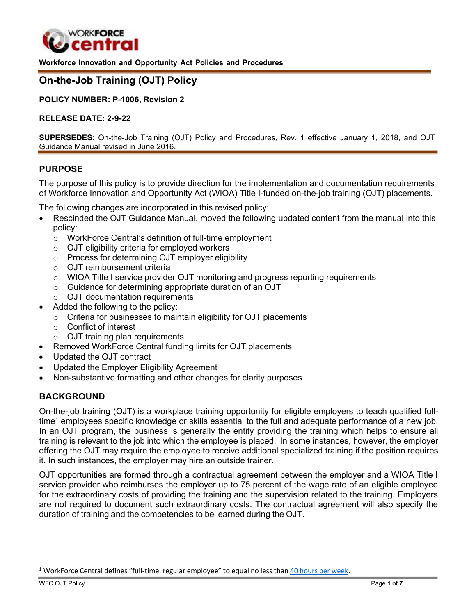

<span id="page-0-0"></span>**Workforce Innovation and Opportunity Act Policies and Procedures**

# **On-the-Job Training (OJT) Policy**

**POLICY NUMBER: P-1006, Revision 2**

#### **RELEASE DATE: 2-9-22**

**SUPERSEDES:** On-the-Job Training (OJT) Policy and Procedures, Rev. 1 effective January 1, 2018, and OJT Guidance Manual revised in June 2016.

### **PURPOSE**

The purpose of this policy is to provide direction for the implementation and documentation requirements of Workforce Innovation and Opportunity Act (WIOA) Title I-funded on-the-job training (OJT) placements.

The following changes are incorporated in this revised policy:

- Rescinded the OJT Guidance Manual, moved the following updated content from the manual into this policy:
	- o WorkForce Central's definition of full-time employment
	- o OJT eligibility criteria for employed workers
	- o Process for determining OJT employer eligibility
	- o OJT reimbursement criteria
	- o WIOA Title I service provider OJT monitoring and progress reporting requirements
	- o Guidance for determining appropriate duration of an OJT
	- o OJT documentation requirements
	- Added the following to the policy:
		- o Criteria for businesses to maintain eligibility for OJT placements
		- o Conflict of interest
		- o OJT training plan requirements
- Removed WorkForce Central funding limits for OJT placements
- Updated the OJT contract
- Updated the Employer Eligibility Agreement
- Non-substantive formatting and other changes for clarity purposes

### **BACKGROUND**

On-the-job training (OJT) is a workplace training opportunity for eligible employers to teach qualified fulltime<sup>1</sup> employees specific knowledge or skills essential to the full and adequate performance of a new job. In an OJT program, the business is generally the entity providing the training which helps to ensure all training is relevant to the job into which the employee is placed. In some instances, however, the employer offering the OJT may require the employee to receive additional specialized training if the position requires it. In such instances, the employer may hire an outside trainer.

OJT opportunities are formed through a contractual agreement between the employer and a WIOA Title I service provider who reimburses the employer up to 75 percent of the wage rate of an eligible employee for the extraordinary costs of providing the training and the supervision related to the training. Employers are not required to document such extraordinary costs. The contractual agreement will also specify the duration of training and the competencies to be learned during the OJT.

<sup>&</sup>lt;sup>1</sup> WorkForce Central defines "full-time, regular employee" to equal no less than 40 hours per [week.](https://app.leg.wa.gov/Rcw/default.aspx?cite=72.01.042)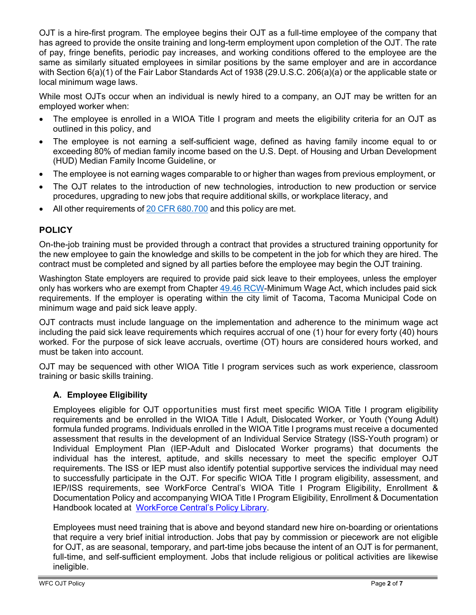OJT is a hire-first program. The employee begins their OJT as a full-time employee of the company that has agreed to provide the onsite training and long-term employment upon completion of the OJT. The rate of pay, fringe benefits, periodic pay increases, and working conditions offered to the employee are the same as similarly situated employees in similar positions by the same employer and are in accordance with Section 6(a)(1) of the Fair Labor Standards Act of 1938 (29.U.S.C. 206(a)(a) or the applicable state or local minimum wage laws.

While most OJTs occur when an individual is newly hired to a company, an OJT may be written for an employed worker when:

- The employee is enrolled in a WIOA Title I program and meets the eligibility criteria for an OJT as outlined in this policy, and
- The employee is not earning a self-sufficient wage, defined as having family income equal to or exceeding 80% of median family income based on the U.S. Dept. of Housing and Urban Development (HUD) Median Family Income Guideline, or
- The employee is not earning wages comparable to or higher than wages from previous employment, or
- The OJT relates to the introduction of new technologies, introduction to new production or service procedures, upgrading to new jobs that require additional skills, or workplace literacy, and
- All other requirements of 20 CFR [680.700](https://www.ecfr.gov/current/title-20/chapter-V/part-680/subpart-F/section-680.700) and this policy are met.

## **POLICY**

On-the-job training must be provided through a contract that provides a structured training opportunity for the new employee to gain the knowledge and skills to be competent in the job for which they are hired. The contract must be completed and signed by all parties before the employee may begin the OJT training.

Washington State employers are required to provide paid sick leave to their employees, unless the employer only has workers who are exempt from Chapter 49.46 [RCW-](https://app.leg.wa.gov/RCW/default.aspx?cite=49.46)Minimum Wage Act, which includes paid sick requirements. If the employer is operating within the city limit of Tacoma, Tacoma Municipal Code on minimum wage and paid sick leave apply.

OJT contracts must include language on the implementation and adherence to the minimum wage act including the paid sick leave requirements which requires accrual of one (1) hour for every forty (40) hours worked. For the purpose of sick leave accruals, overtime (OT) hours are considered hours worked, and must be taken into account.

OJT may be sequenced with other WIOA Title I program services such as work experience, classroom training or basic skills training.

## **A. Employee Eligibility**

Employees eligible for OJT opportunities must first meet specific WIOA Title I program eligibility requirements and be enrolled in the WIOA Title I Adult, Dislocated Worker, or Youth (Young Adult) formula funded programs. Individuals enrolled in the WIOA Title I programs must receive a documented assessment that results in the development of an Individual Service Strategy (ISS-Youth program) or Individual Employment Plan (IEP-Adult and Dislocated Worker programs) that documents the individual has the interest, aptitude, and skills necessary to meet the specific employer OJT requirements. The ISS or IEP must also identify potential supportive services the individual may need to successfully participate in the OJT. For specific WIOA Title I program eligibility, assessment, and IEP/ISS requirements, see WorkForce Central's WIOA Title I Program Eligibility, Enrollment & Documentation Policy and accompanying WIOA Title I Program Eligibility, Enrollment & Documentation Handbook located at [WorkForce](https://workforce-central.org/about/policies/) Central's Policy Library.

Employees must need training that is above and beyond standard new hire on-boarding or orientations that require a very brief initial introduction. Jobs that pay by commission or piecework are not eligible for OJT, as are seasonal, temporary, and part-time jobs because the intent of an OJT is for permanent, full-time, and self-sufficient employment. Jobs that include religious or political activities are likewise ineligible.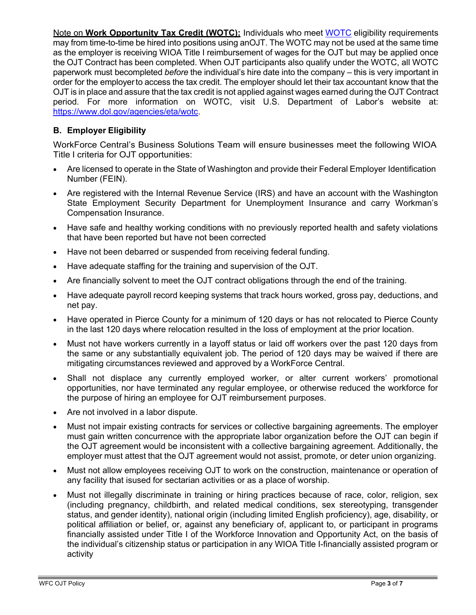Note on **Work Opportunity Tax Credit (WOTC):** Individuals who meet [WOTC](https://www.dol.gov/agencies/eta/wotc) eligibility requirements may from time-to-time be hired into positions using anOJT. The WOTC may not be used at the same time as the employer is receiving WIOA Title I reimbursement of wages for the OJT but may be applied once the OJT Contract has been completed. When OJT participants also qualify under the WOTC, all WOTC paperwork must becompleted *before* the individual's hire date into the company – this is very important in order for the employerto access the tax credit. The employer should let their tax accountant know that the OJT is in place and assure that the tax credit is not applied against wages earned during the OJT Contract period. For more information on WOTC, visit U.S. Department of Labor's website at: [https://www.dol.gov/agencies/eta/wotc.](https://www.dol.gov/agencies/eta/wotc)

## **B. Employer Eligibility**

WorkForce Central's Business Solutions Team will ensure businesses meet the following WIOA Title I criteria for OJT opportunities:

- Are licensed to operate in the State of Washington and provide their Federal Employer Identification Number (FEIN).
- Are registered with the Internal Revenue Service (IRS) and have an account with the Washington State Employment Security Department for Unemployment Insurance and carry Workman's Compensation Insurance.
- Have safe and healthy working conditions with no previously reported health and safety violations that have been reported but have not been corrected
- Have not been debarred or suspended from receiving federal funding.
- Have adequate staffing for the training and supervision of the OJT.
- Are financially solvent to meet the OJT contract obligations through the end of the training.
- Have adequate payroll record keeping systems that track hours worked, gross pay, deductions, and net pay.
- Have operated in Pierce County for a minimum of 120 days or has not relocated to Pierce County in the last 120 days where relocation resulted in the loss of employment at the prior location.
- Must not have workers currently in a layoff status or laid off workers over the past 120 days from the same or any substantially equivalent job. The period of 120 days may be waived if there are mitigating circumstances reviewed and approved by a WorkForce Central.
- Shall not displace any currently employed worker, or alter current workers' promotional opportunities, nor have terminated any regular employee, or otherwise reduced the workforce for the purpose of hiring an employee for OJT reimbursement purposes.
- Are not involved in a labor dispute.
- Must not impair existing contracts for services or collective bargaining agreements. The employer must gain written concurrence with the appropriate labor organization before the OJT can begin if the OJT agreement would be inconsistent with a collective bargaining agreement. Additionally, the employer must attest that the OJT agreement would not assist, promote, or deter union organizing.
- Must not allow employees receiving OJT to work on the construction, maintenance or operation of any facility that isused for sectarian activities or as a place of worship.
- Must not illegally discriminate in training or hiring practices because of race, color, religion, sex (including pregnancy, childbirth, and related medical conditions, sex stereotyping, transgender status, and gender identity), national origin (including limited English proficiency), age, disability, or political affiliation or belief, or, against any beneficiary of, applicant to, or participant in programs financially assisted under Title I of the Workforce Innovation and Opportunity Act, on the basis of the individual's citizenship status or participation in any WIOA Title I-financially assisted program or activity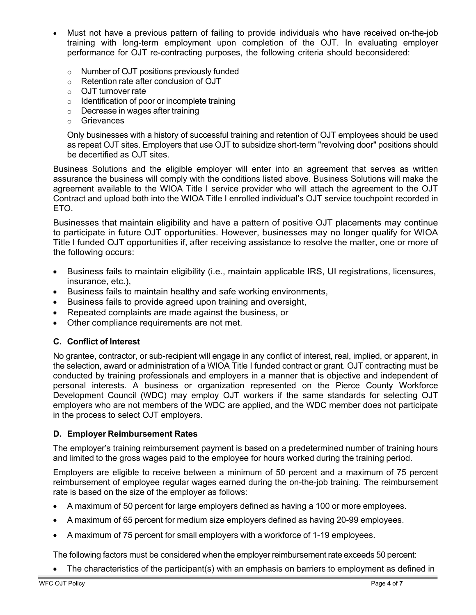- Must not have a previous pattern of failing to provide individuals who have received on-the-job training with long-term employment upon completion of the OJT. In evaluating employer performance for OJT re-contracting purposes, the following criteria should beconsidered:
	- o Number of OJT positions previously funded
	- o Retention rate after conclusion of OJT
	- o OJT turnover rate
	- o Identification of poor or incomplete training
	- o Decrease in wages after training
	- o Grievances

Only businesses with a history of successful training and retention of OJT employees should be used as repeat OJT sites. Employers that use OJT to subsidize short-term "revolving door" positions should be decertified as OJT sites.

Business Solutions and the eligible employer will enter into an agreement that serves as written assurance the business will comply with the conditions listed above. Business Solutions will make the agreement available to the WIOA Title I service provider who will attach the agreement to the OJT Contract and upload both into the WIOA Title I enrolled individual's OJT service touchpoint recorded in ETO.

Businesses that maintain eligibility and have a pattern of positive OJT placements may continue to participate in future OJT opportunities. However, businesses may no longer qualify for WIOA Title I funded OJT opportunities if, after receiving assistance to resolve the matter, one or more of the following occurs:

- Business fails to maintain eligibility (i.e., maintain applicable IRS, UI registrations, licensures, insurance, etc.),
- Business fails to maintain healthy and safe working environments,
- Business fails to provide agreed upon training and oversight,
- Repeated complaints are made against the business, or
- Other compliance requirements are not met.

## **C. Conflict of Interest**

No grantee, contractor, or sub-recipient will engage in any conflict of interest, real, implied, or apparent, in the selection, award or administration of a WIOA Title I funded contract or grant. OJT contracting must be conducted by training professionals and employers in a manner that is objective and independent of personal interests. A business or organization represented on the Pierce County Workforce Development Council (WDC) may employ OJT workers if the same standards for selecting OJT employers who are not members of the WDC are applied, and the WDC member does not participate in the process to select OJT employers.

### **D. Employer Reimbursement Rates**

The employer's training reimbursement payment is based on a predetermined number of training hours and limited to the gross wages paid to the employee for hours worked during the training period.

Employers are eligible to receive between a minimum of 50 percent and a maximum of 75 percent reimbursement of employee regular wages earned during the on-the-job training. The reimbursement rate is based on the size of the employer as follows:

- A maximum of 50 percent for large employers defined as having a 100 or more employees.
- A maximum of 65 percent for medium size employers defined as having 20-99 employees.
- A maximum of 75 percent for small employers with a workforce of 1-19 employees.

The following factors must be considered when the employer reimbursement rate exceeds 50 percent:

• The characteristics of the participant(s) with an emphasis on barriers to employment as defined in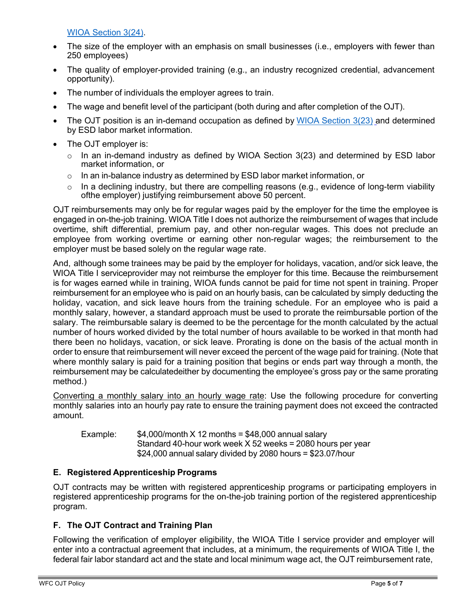WIOA [Section](https://workforce-central.org/wp-content/uploads/2021/12/individuals-with-a-barrier-to-employment-attachment141.pdf) 3(24).

- The size of the employer with an emphasis on small businesses (i.e., employers with fewer than 250 employees)
- The quality of employer-provided training (e.g., an industry recognized credential, advancement opportunity).
- The number of individuals the employer agrees to train.
- The wage and benefit level of the participant (both during and after completion of the OJT).
- The OJT position is an in-demand occupation as defined by [WIOA Section](https://www.congress.gov/113/bills/hr803/BILLS-113hr803enr.pdf)  $3(23)$  and determined by ESD labor market information.
- The OJT employer is:
	- $\circ$  In an in-demand industry as defined by WIOA Section 3(23) and determined by ESD labor market information, or
	- $\circ$  In an in-balance industry as determined by ESD labor market information, or
	- In a declining industry, but there are compelling reasons (e.g., evidence of long-term viability ofthe employer) justifying reimbursement above 50 percent.

OJT reimbursements may only be for regular wages paid by the employer for the time the employee is engaged in on-the-job training. WIOA Title I does not authorize the reimbursement of wages that include overtime, shift differential, premium pay, and other non-regular wages. This does not preclude an employee from working overtime or earning other non-regular wages; the reimbursement to the employer must be based solely on the regular wage rate.

And, although some trainees may be paid by the employer for holidays, vacation, and/or sick leave, the WIOA Title I serviceprovider may not reimburse the employer for this time. Because the reimbursement is for wages earned while in training, WIOA funds cannot be paid for time not spent in training. Proper reimbursement for an employee who is paid on an hourly basis, can be calculated by simply deducting the holiday, vacation, and sick leave hours from the training schedule. For an employee who is paid a monthly salary, however, a standard approach must be used to prorate the reimbursable portion of the salary. The reimbursable salary is deemed to be the percentage for the month calculated by the actual number of hours worked divided by the total number of hours available to be worked in that month had there been no holidays, vacation, or sick leave. Prorating is done on the basis of the actual month in order to ensure that reimbursement will never exceed the percent of the wage paid for training. (Note that where monthly salary is paid for a training position that begins or ends part way through a month, the reimbursement may be calculatedeither by documenting the employee's gross pay or the same prorating method.)

Converting a monthly salary into an hourly wage rate: Use the following procedure for converting monthly salaries into an hourly pay rate to ensure the training payment does not exceed the contracted amount.

Example:  $$4,000/m$ onth X 12 months = \$48,000 annual salary Standard 40-hour work week X 52 weeks = 2080 hours per year \$24,000 annual salary divided by 2080 hours = \$23.07/hour

## **E. Registered Apprenticeship Programs**

OJT contracts may be written with registered apprenticeship programs or participating employers in registered apprenticeship programs for the on-the-job training portion of the registered apprenticeship program.

## **F. The OJT Contract and Training Plan**

Following the verification of employer eligibility, the WIOA Title I service provider and employer will enter into a contractual agreement that includes, at a minimum, the requirements of WIOA Title I, the federal fair labor standard act and the state and local minimum wage act, the OJT reimbursement rate,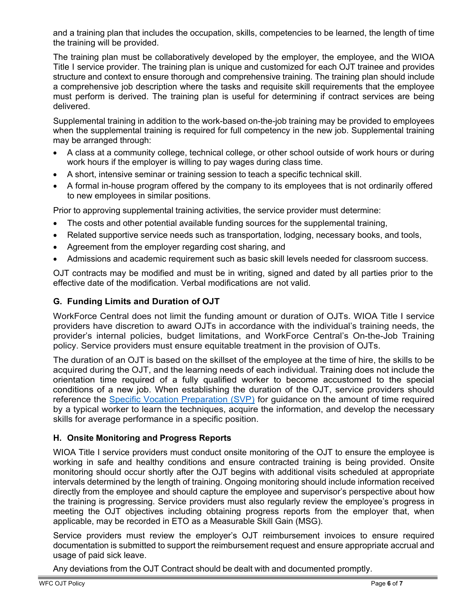and a training plan that includes the occupation, skills, competencies to be learned, the length of time the training will be provided.

The training plan must be collaboratively developed by the employer, the employee, and the WIOA Title I service provider. The training plan is unique and customized for each OJT trainee and provides structure and context to ensure thorough and comprehensive training. The training plan should include a comprehensive job description where the tasks and requisite skill requirements that the employee must perform is derived. The training plan is useful for determining if contract services are being delivered.

Supplemental training in addition to the work-based on-the-job training may be provided to employees when the supplemental training is required for full competency in the new job. Supplemental training may be arranged through:

- A class at a community college, technical college, or other school outside of work hours or during work hours if the employer is willing to pay wages during class time.
- A short, intensive seminar or training session to teach a specific technical skill.
- A formal in-house program offered by the company to its employees that is not ordinarily offered to new employees in similar positions.

Prior to approving supplemental training activities, the service provider must determine:

- The costs and other potential available funding sources for the supplemental training,
- Related supportive service needs such as transportation, lodging, necessary books, and tools,
- Agreement from the employer regarding cost sharing, and
- Admissions and academic requirement such as basic skill levels needed for classroom success.

OJT contracts may be modified and must be in writing, signed and dated by all parties prior to the effective date of the modification. Verbal modifications are not valid.

## **G. Funding Limits and Duration of OJT**

WorkForce Central does not limit the funding amount or duration of OJTs. WIOA Title I service providers have discretion to award OJTs in accordance with the individual's training needs, the provider's internal policies, budget limitations, and WorkForce Central's On-the-Job Training policy. Service providers must ensure equitable treatment in the provision of OJTs.

The duration of an OJT is based on the skillset of the employee at the time of hire, the skills to be acquired during the OJT, and the learning needs of each individual. Training does not include the orientation time required of a fully qualified worker to become accustomed to the special conditions of a new job. When establishing the duration of the OJT, service providers should reference the [Specific Vocation Preparation \(SVP\)](https://www.onetonline.org/help/online/svp) for guidance on the amount of time required by a typical worker to learn the techniques, acquire the information, and develop the necessary skills for average performance in a specific position.

## **H. Onsite Monitoring and Progress Reports**

WIOA Title I service providers must conduct onsite monitoring of the OJT to ensure the employee is working in safe and healthy conditions and ensure contracted training is being provided. Onsite monitoring should occur shortly after the OJT begins with additional visits scheduled at appropriate intervals determined by the length of training. Ongoing monitoring should include information received directly from the employee and should capture the employee and supervisor's perspective about how the training is progressing. Service providers must also regularly review the employee's progress in meeting the OJT objectives including obtaining progress reports from the employer that, when applicable, may be recorded in ETO as a Measurable Skill Gain (MSG).

Service providers must review the employer's OJT reimbursement invoices to ensure required documentation is submitted to support the reimbursement request and ensure appropriate accrual and usage of paid sick leave.

Any deviations from the OJT Contract should be dealt with and documented promptly.